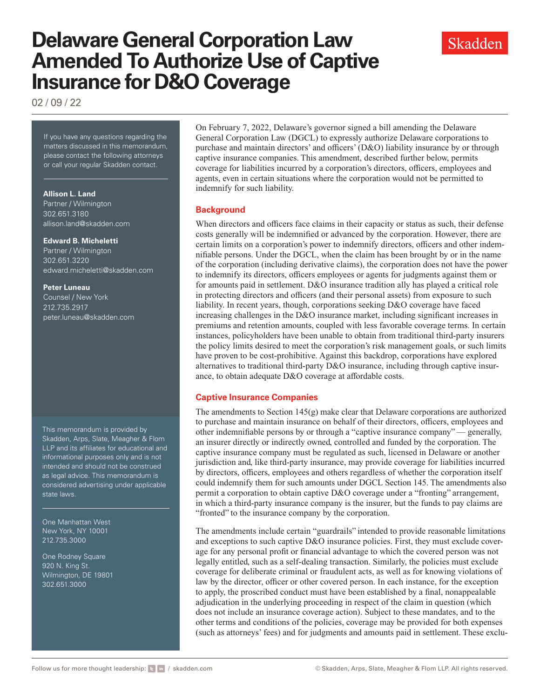# **Delaware General Corporation Law Amended To Authorize Use of Captive Insurance for D&O Coverage**

02 / 09 / 22

If you have any questions regarding the matters discussed in this memorandum, please contact the following attorneys or call your regular Skadden contact.

#### **Allison L. Land**

Partner / Wilmington 302.651.3180 [allison.land@skadden.com](mailto:allison.land@skadden.com)

#### **Edward B. Micheletti**

Partner / Wilmington 302.651.3220 [edward.micheletti@skadden.com](mailto:edward.micheletti@skadden.com )

#### **Peter Luneau**

Counsel / New York 212.735.2917 [peter.luneau@skadden.com](mailto:peter.luneau@skadden.com )

This memorandum is provided by Skadden, Arps, Slate, Meagher & Flom LLP and its affiliates for educational and informational purposes only and is not intended and should not be construed as legal advice. This memorandum is considered advertising under applicable state laws.

One Manhattan West New York, NY 10001 212.735.3000

One Rodney Square 920 N. King St. Wilmington, DE 19801 302.651.3000

On February 7, 2022, Delaware's governor signed a bill amending the Delaware General Corporation Law (DGCL) to expressly authorize Delaware corporations to purchase and maintain directors' and officers' (D&O) liability insurance by or through captive insurance companies. This amendment, described further below, permits coverage for liabilities incurred by a corporation's directors, officers, employees and agents, even in certain situations where the corporation would not be permitted to indemnify for such liability.

### **Background**

When directors and officers face claims in their capacity or status as such, their defense costs generally will be indemnified or advanced by the corporation. However, there are certain limits on a corporation's power to indemnify directors, officers and other indemnifiable persons. Under the DGCL, when the claim has been brought by or in the name of the corporation (including derivative claims), the corporation does not have the power to indemnify its directors, officers employees or agents for judgments against them or for amounts paid in settlement. D&O insurance tradition ally has played a critical role in protecting directors and officers (and their personal assets) from exposure to such liability. In recent years, though, corporations seeking D&O coverage have faced increasing challenges in the D&O insurance market, including significant increases in premiums and retention amounts, coupled with less favorable coverage terms. In certain instances, policyholders have been unable to obtain from traditional third-party insurers the policy limits desired to meet the corporation's risk management goals, or such limits have proven to be cost-prohibitive. Against this backdrop, corporations have explored alternatives to traditional third-party D&O insurance, including through captive insurance, to obtain adequate D&O coverage at affordable costs.

## **Captive Insurance Companies**

The amendments to Section  $145(g)$  make clear that Delaware corporations are authorized to purchase and maintain insurance on behalf of their directors, officers, employees and other indemnifiable persons by or through a "captive insurance company" — generally, an insurer directly or indirectly owned, controlled and funded by the corporation. The captive insurance company must be regulated as such, licensed in Delaware or another jurisdiction and, like third-party insurance, may provide coverage for liabilities incurred by directors, officers, employees and others regardless of whether the corporation itself could indemnify them for such amounts under DGCL Section 145. The amendments also permit a corporation to obtain captive D&O coverage under a "fronting" arrangement, in which a third-party insurance company is the insurer, but the funds to pay claims are "fronted" to the insurance company by the corporation.

The amendments include certain "guardrails" intended to provide reasonable limitations and exceptions to such captive D&O insurance policies. First, they must exclude coverage for any personal profit or financial advantage to which the covered person was not legally entitled, such as a self-dealing transaction. Similarly, the policies must exclude coverage for deliberate criminal or fraudulent acts, as well as for knowing violations of law by the director, officer or other covered person. In each instance, for the exception to apply, the proscribed conduct must have been established by a final, nonappealable adjudication in the underlying proceeding in respect of the claim in question (which does not include an insurance coverage action). Subject to these mandates, and to the other terms and conditions of the policies, coverage may be provided for both expenses (such as attorneys' fees) and for judgments and amounts paid in settlement. These exclu-